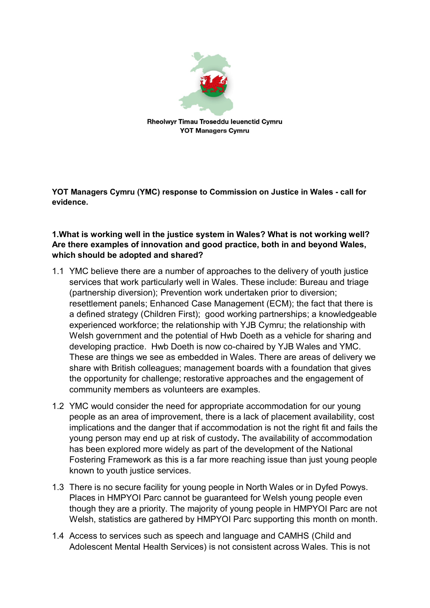

**YOT Managers Cymru (YMC) response to Commission on Justice in Wales - call for evidence.** 

# **1.What is working well in the justice system in Wales? What is not working well? Are there examples of innovation and good practice, both in and beyond Wales, which should be adopted and shared?**

- 1.1 YMC believe there are a number of approaches to the delivery of youth justice services that work particularly well in Wales. These include: Bureau and triage (partnership diversion); Prevention work undertaken prior to diversion; resettlement panels; Enhanced Case Management (ECM); the fact that there is a defined strategy (Children First); good working partnerships; a knowledgeable experienced workforce; the relationship with YJB Cymru; the relationship with Welsh government and the potential of Hwb Doeth as a vehicle for sharing and developing practice. Hwb Doeth is now co-chaired by YJB Wales and YMC. These are things we see as embedded in Wales. There are areas of delivery we share with British colleagues; management boards with a foundation that gives the opportunity for challenge; restorative approaches and the engagement of community members as volunteers are examples.
- 1.2 YMC would consider the need for appropriate accommodation for our young people as an area of improvement, there is a lack of placement availability, cost implications and the danger that if accommodation is not the right fit and fails the young person may end up at risk of custody**.** The availability of accommodation has been explored more widely as part of the development of the National Fostering Framework as this is a far more reaching issue than just young people known to youth justice services.
- 1.3 There is no secure facility for young people in North Wales or in Dyfed Powys. Places in HMPYOI Parc cannot be guaranteed for Welsh young people even though they are a priority. The majority of young people in HMPYOI Parc are not Welsh, statistics are gathered by HMPYOI Parc supporting this month on month.
- 1.4 Access to services such as speech and language and CAMHS (Child and Adolescent Mental Health Services) is not consistent across Wales. This is not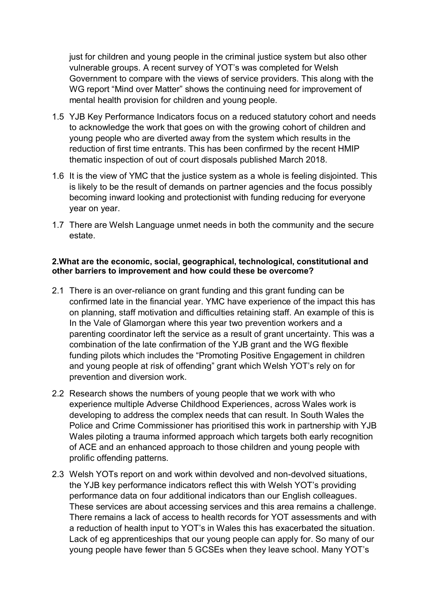just for children and young people in the criminal justice system but also other vulnerable groups. A recent survey of YOT's was completed for Welsh Government to compare with the views of service providers. This along with the WG report "Mind over Matter" shows the continuing need for improvement of mental health provision for children and young people.

- 1.5 YJB Key Performance Indicators focus on a reduced statutory cohort and needs to acknowledge the work that goes on with the growing cohort of children and young people who are diverted away from the system which results in the reduction of first time entrants. This has been confirmed by the recent HMIP thematic inspection of out of court disposals published March 2018.
- 1.6 It is the view of YMC that the justice system as a whole is feeling disjointed. This is likely to be the result of demands on partner agencies and the focus possibly becoming inward looking and protectionist with funding reducing for everyone year on year.
- 1.7 There are Welsh Language unmet needs in both the community and the secure estate.

## **2.What are the economic, social, geographical, technological, constitutional and other barriers to improvement and how could these be overcome?**

- 2.1 There is an over-reliance on grant funding and this grant funding can be confirmed late in the financial year. YMC have experience of the impact this has on planning, staff motivation and difficulties retaining staff. An example of this is In the Vale of Glamorgan where this year two prevention workers and a parenting coordinator left the service as a result of grant uncertainty. This was a combination of the late confirmation of the YJB grant and the WG flexible funding pilots which includes the "Promoting Positive Engagement in children and young people at risk of offending" grant which Welsh YOT's rely on for prevention and diversion work.
- 2.2 Research shows the numbers of young people that we work with who experience multiple Adverse Childhood Experiences, across Wales work is developing to address the complex needs that can result. In South Wales the Police and Crime Commissioner has prioritised this work in partnership with YJB Wales piloting a trauma informed approach which targets both early recognition of ACE and an enhanced approach to those children and young people with prolific offending patterns.
- 2.3 Welsh YOTs report on and work within devolved and non-devolved situations, the YJB key performance indicators reflect this with Welsh YOT's providing performance data on four additional indicators than our English colleagues. These services are about accessing services and this area remains a challenge. There remains a lack of access to health records for YOT assessments and with a reduction of health input to YOT's in Wales this has exacerbated the situation. Lack of eg apprenticeships that our young people can apply for. So many of our young people have fewer than 5 GCSEs when they leave school. Many YOT's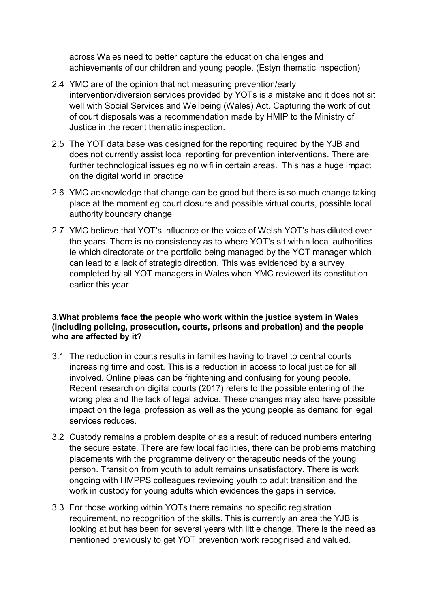across Wales need to better capture the education challenges and achievements of our children and young people. (Estyn thematic inspection)

- 2.4 YMC are of the opinion that not measuring prevention/early intervention/diversion services provided by YOTs is a mistake and it does not sit well with Social Services and Wellbeing (Wales) Act. Capturing the work of out of court disposals was a recommendation made by HMIP to the Ministry of Justice in the recent thematic inspection.
- 2.5 The YOT data base was designed for the reporting required by the YJB and does not currently assist local reporting for prevention interventions. There are further technological issues eg no wifi in certain areas. This has a huge impact on the digital world in practice
- 2.6 YMC acknowledge that change can be good but there is so much change taking place at the moment eg court closure and possible virtual courts, possible local authority boundary change
- 2.7 YMC believe that YOT's influence or the voice of Welsh YOT's has diluted over the years. There is no consistency as to where YOT's sit within local authorities ie which directorate or the portfolio being managed by the YOT manager which can lead to a lack of strategic direction. This was evidenced by a survey completed by all YOT managers in Wales when YMC reviewed its constitution earlier this year

## **3.What problems face the people who work within the justice system in Wales (including policing, prosecution, courts, prisons and probation) and the people who are affected by it?**

- 3.1 The reduction in courts results in families having to travel to central courts increasing time and cost. This is a reduction in access to local justice for all involved. Online pleas can be frightening and confusing for young people. Recent research on digital courts (2017) refers to the possible entering of the wrong plea and the lack of legal advice. These changes may also have possible impact on the legal profession as well as the young people as demand for legal services reduces.
- 3.2 Custody remains a problem despite or as a result of reduced numbers entering the secure estate. There are few local facilities, there can be problems matching placements with the programme delivery or therapeutic needs of the young person. Transition from youth to adult remains unsatisfactory. There is work ongoing with HMPPS colleagues reviewing youth to adult transition and the work in custody for young adults which evidences the gaps in service.
- 3.3 For those working within YOTs there remains no specific registration requirement, no recognition of the skills. This is currently an area the YJB is looking at but has been for several years with little change. There is the need as mentioned previously to get YOT prevention work recognised and valued.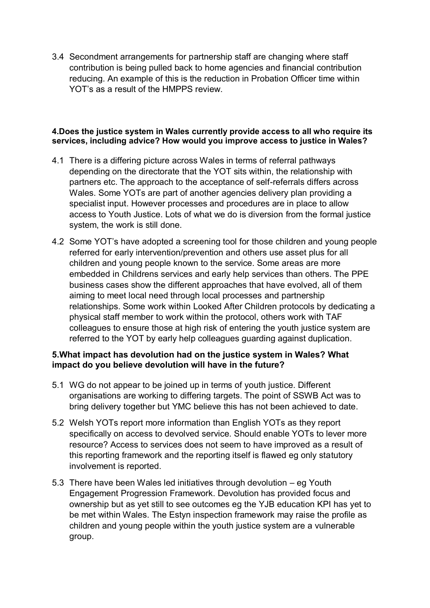3.4 Secondment arrangements for partnership staff are changing where staff contribution is being pulled back to home agencies and financial contribution reducing. An example of this is the reduction in Probation Officer time within YOT's as a result of the HMPPS review.

#### **4.Does the justice system in Wales currently provide access to all who require its services, including advice? How would you improve access to justice in Wales?**

- 4.1 There is a differing picture across Wales in terms of referral pathways depending on the directorate that the YOT sits within, the relationship with partners etc. The approach to the acceptance of self-referrals differs across Wales. Some YOTs are part of another agencies delivery plan providing a specialist input. However processes and procedures are in place to allow access to Youth Justice. Lots of what we do is diversion from the formal justice system, the work is still done.
- 4.2 Some YOT's have adopted a screening tool for those children and young people referred for early intervention/prevention and others use asset plus for all children and young people known to the service. Some areas are more embedded in Childrens services and early help services than others. The PPE business cases show the different approaches that have evolved, all of them aiming to meet local need through local processes and partnership relationships. Some work within Looked After Children protocols by dedicating a physical staff member to work within the protocol, others work with TAF colleagues to ensure those at high risk of entering the youth justice system are referred to the YOT by early help colleagues guarding against duplication.

# **5.What impact has devolution had on the justice system in Wales? What impact do you believe devolution will have in the future?**

- 5.1 WG do not appear to be joined up in terms of youth justice. Different organisations are working to differing targets. The point of SSWB Act was to bring delivery together but YMC believe this has not been achieved to date.
- 5.2 Welsh YOTs report more information than English YOTs as they report specifically on access to devolved service. Should enable YOTs to lever more resource? Access to services does not seem to have improved as a result of this reporting framework and the reporting itself is flawed eg only statutory involvement is reported.
- 5.3 There have been Wales led initiatives through devolution eg Youth Engagement Progression Framework. Devolution has provided focus and ownership but as yet still to see outcomes eg the YJB education KPI has yet to be met within Wales. The Estyn inspection framework may raise the profile as children and young people within the youth justice system are a vulnerable group.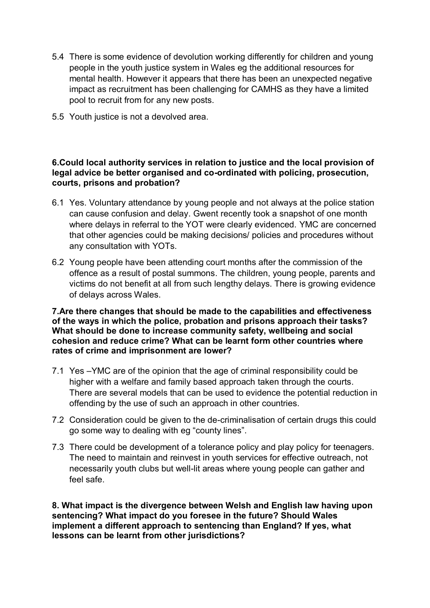- 5.4 There is some evidence of devolution working differently for children and young people in the youth justice system in Wales eg the additional resources for mental health. However it appears that there has been an unexpected negative impact as recruitment has been challenging for CAMHS as they have a limited pool to recruit from for any new posts.
- 5.5 Youth justice is not a devolved area.

## **6.Could local authority services in relation to justice and the local provision of legal advice be better organised and co-ordinated with policing, prosecution, courts, prisons and probation?**

- 6.1 Yes. Voluntary attendance by young people and not always at the police station can cause confusion and delay. Gwent recently took a snapshot of one month where delays in referral to the YOT were clearly evidenced. YMC are concerned that other agencies could be making decisions/ policies and procedures without any consultation with YOTs.
- 6.2 Young people have been attending court months after the commission of the offence as a result of postal summons. The children, young people, parents and victims do not benefit at all from such lengthy delays. There is growing evidence of delays across Wales.

**7.Are there changes that should be made to the capabilities and effectiveness of the ways in which the police, probation and prisons approach their tasks? What should be done to increase community safety, wellbeing and social cohesion and reduce crime? What can be learnt form other countries where rates of crime and imprisonment are lower?** 

- 7.1 Yes –YMC are of the opinion that the age of criminal responsibility could be higher with a welfare and family based approach taken through the courts. There are several models that can be used to evidence the potential reduction in offending by the use of such an approach in other countries.
- 7.2 Consideration could be given to the de-criminalisation of certain drugs this could go some way to dealing with eg "county lines".
- 7.3 There could be development of a tolerance policy and play policy for teenagers. The need to maintain and reinvest in youth services for effective outreach, not necessarily youth clubs but well-lit areas where young people can gather and feel safe.

**8. What impact is the divergence between Welsh and English law having upon sentencing? What impact do you foresee in the future? Should Wales implement a different approach to sentencing than England? If yes, what lessons can be learnt from other jurisdictions?**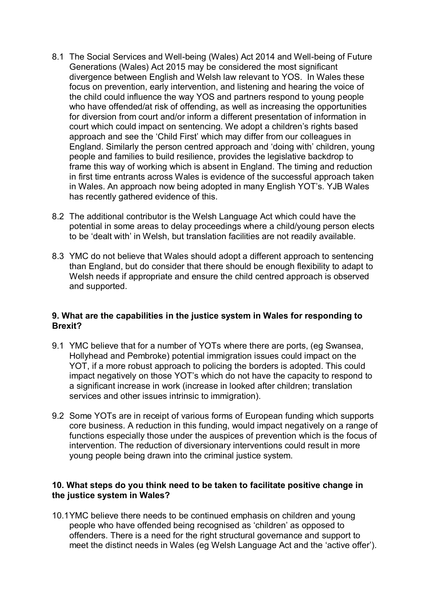- 8.1 The Social Services and Well-being (Wales) Act 2014 and Well-being of Future Generations (Wales) Act 2015 may be considered the most significant divergence between English and Welsh law relevant to YOS. In Wales these focus on prevention, early intervention, and listening and hearing the voice of the child could influence the way YOS and partners respond to young people who have offended/at risk of offending, as well as increasing the opportunities for diversion from court and/or inform a different presentation of information in court which could impact on sentencing. We adopt a children's rights based approach and see the 'Child First' which may differ from our colleagues in England. Similarly the person centred approach and 'doing with' children, young people and families to build resilience, provides the legislative backdrop to frame this way of working which is absent in England. The timing and reduction in first time entrants across Wales is evidence of the successful approach taken in Wales. An approach now being adopted in many English YOT's. YJB Wales has recently gathered evidence of this.
- 8.2 The additional contributor is the Welsh Language Act which could have the potential in some areas to delay proceedings where a child/young person elects to be 'dealt with' in Welsh, but translation facilities are not readily available.
- 8.3 YMC do not believe that Wales should adopt a different approach to sentencing than England, but do consider that there should be enough flexibility to adapt to Welsh needs if appropriate and ensure the child centred approach is observed and supported.

### **9. What are the capabilities in the justice system in Wales for responding to Brexit?**

- 9.1 YMC believe that for a number of YOTs where there are ports, (eg Swansea, Hollyhead and Pembroke) potential immigration issues could impact on the YOT, if a more robust approach to policing the borders is adopted. This could impact negatively on those YOT's which do not have the capacity to respond to a significant increase in work (increase in looked after children; translation services and other issues intrinsic to immigration).
- 9.2 Some YOTs are in receipt of various forms of European funding which supports core business. A reduction in this funding, would impact negatively on a range of functions especially those under the auspices of prevention which is the focus of intervention. The reduction of diversionary interventions could result in more young people being drawn into the criminal justice system.

## **10. What steps do you think need to be taken to facilitate positive change in the justice system in Wales?**

10.1YMC believe there needs to be continued emphasis on children and young people who have offended being recognised as 'children' as opposed to offenders. There is a need for the right structural governance and support to meet the distinct needs in Wales (eg Welsh Language Act and the 'active offer').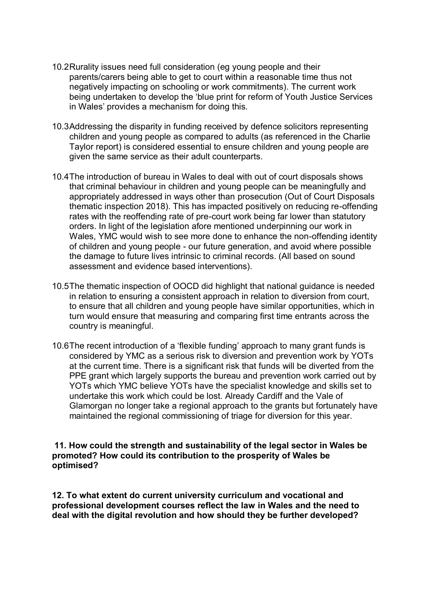- 10.2Rurality issues need full consideration (eg young people and their parents/carers being able to get to court within a reasonable time thus not negatively impacting on schooling or work commitments). The current work being undertaken to develop the 'blue print for reform of Youth Justice Services in Wales' provides a mechanism for doing this.
- 10.3Addressing the disparity in funding received by defence solicitors representing children and young people as compared to adults (as referenced in the Charlie Taylor report) is considered essential to ensure children and young people are given the same service as their adult counterparts.
- 10.4The introduction of bureau in Wales to deal with out of court disposals shows that criminal behaviour in children and young people can be meaningfully and appropriately addressed in ways other than prosecution (Out of Court Disposals thematic inspection 2018). This has impacted positively on reducing re-offending rates with the reoffending rate of pre-court work being far lower than statutory orders. In light of the legislation afore mentioned underpinning our work in Wales, YMC would wish to see more done to enhance the non-offending identity of children and young people - our future generation, and avoid where possible the damage to future lives intrinsic to criminal records. (All based on sound assessment and evidence based interventions).
- 10.5The thematic inspection of OOCD did highlight that national guidance is needed in relation to ensuring a consistent approach in relation to diversion from court, to ensure that all children and young people have similar opportunities, which in turn would ensure that measuring and comparing first time entrants across the country is meaningful.
- 10.6The recent introduction of a 'flexible funding' approach to many grant funds is considered by YMC as a serious risk to diversion and prevention work by YOTs at the current time. There is a significant risk that funds will be diverted from the PPE grant which largely supports the bureau and prevention work carried out by YOTs which YMC believe YOTs have the specialist knowledge and skills set to undertake this work which could be lost. Already Cardiff and the Vale of Glamorgan no longer take a regional approach to the grants but fortunately have maintained the regional commissioning of triage for diversion for this year.

### **11. How could the strength and sustainability of the legal sector in Wales be promoted? How could its contribution to the prosperity of Wales be optimised?**

**12. To what extent do current university curriculum and vocational and professional development courses reflect the law in Wales and the need to deal with the digital revolution and how should they be further developed?**